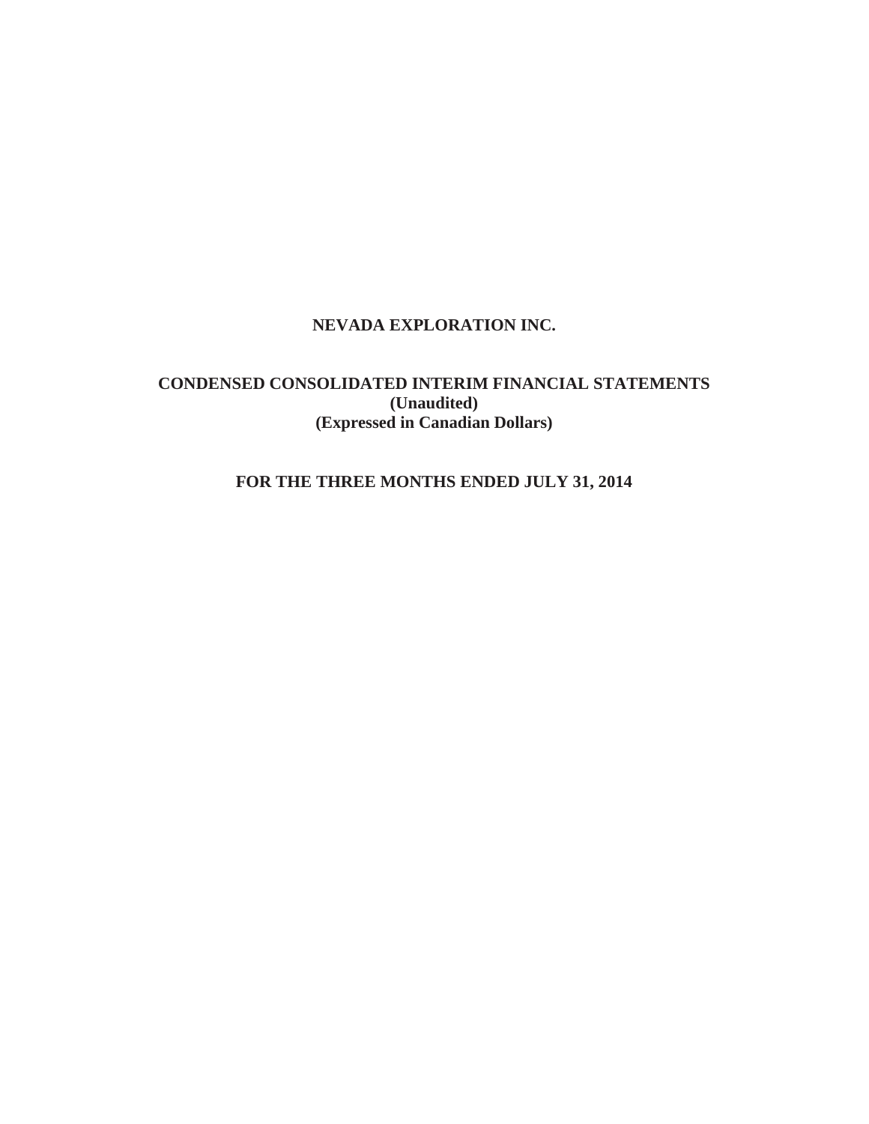## **NEVADA EXPLORATION INC.**

## **CONDENSED CONSOLIDATED INTERIM FINANCIAL STATEMENTS (Unaudited) (Expressed in Canadian Dollars)**

# **FOR THE THREE MONTHS ENDED JULY 31, 2014**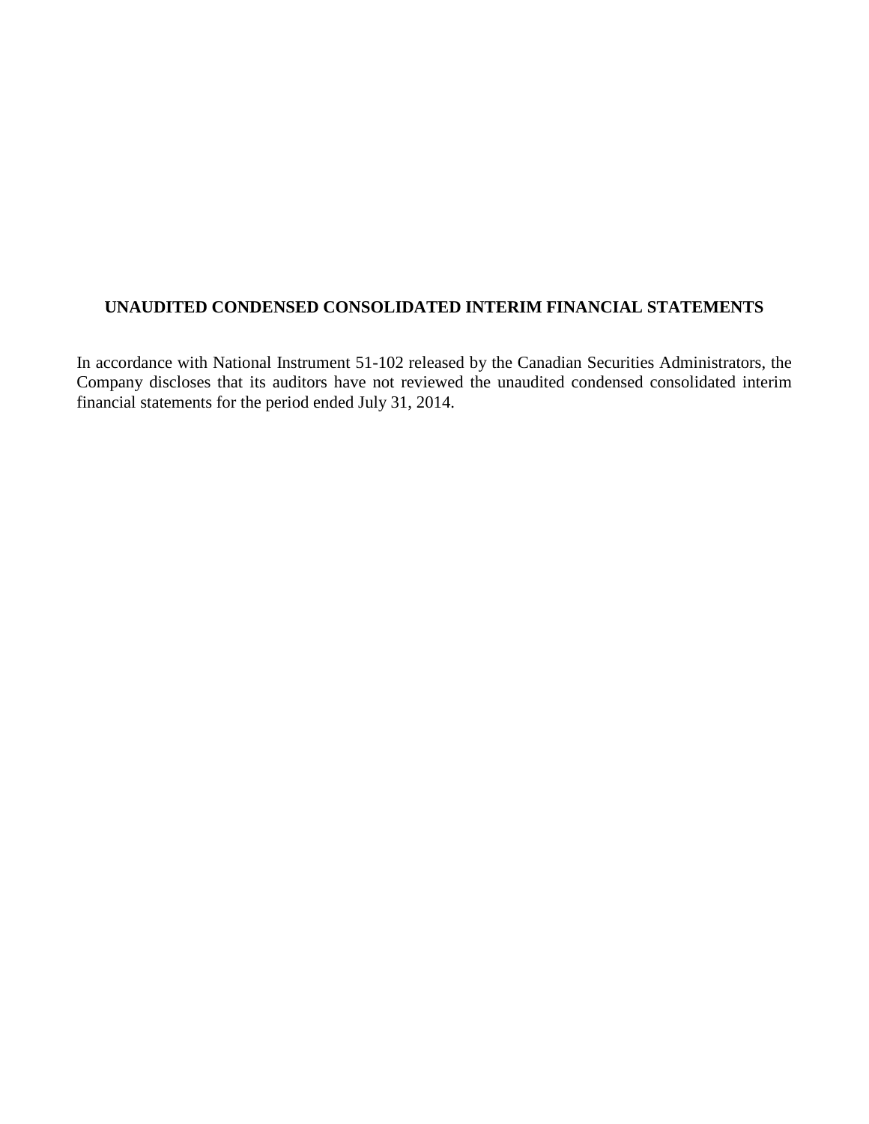# **UNAUDITED CONDENSED CONSOLIDATED INTERIM FINANCIAL STATEMENTS**

In accordance with National Instrument 51-102 released by the Canadian Securities Administrators, the Company discloses that its auditors have not reviewed the unaudited condensed consolidated interim financial statements for the period ended July 31, 2014.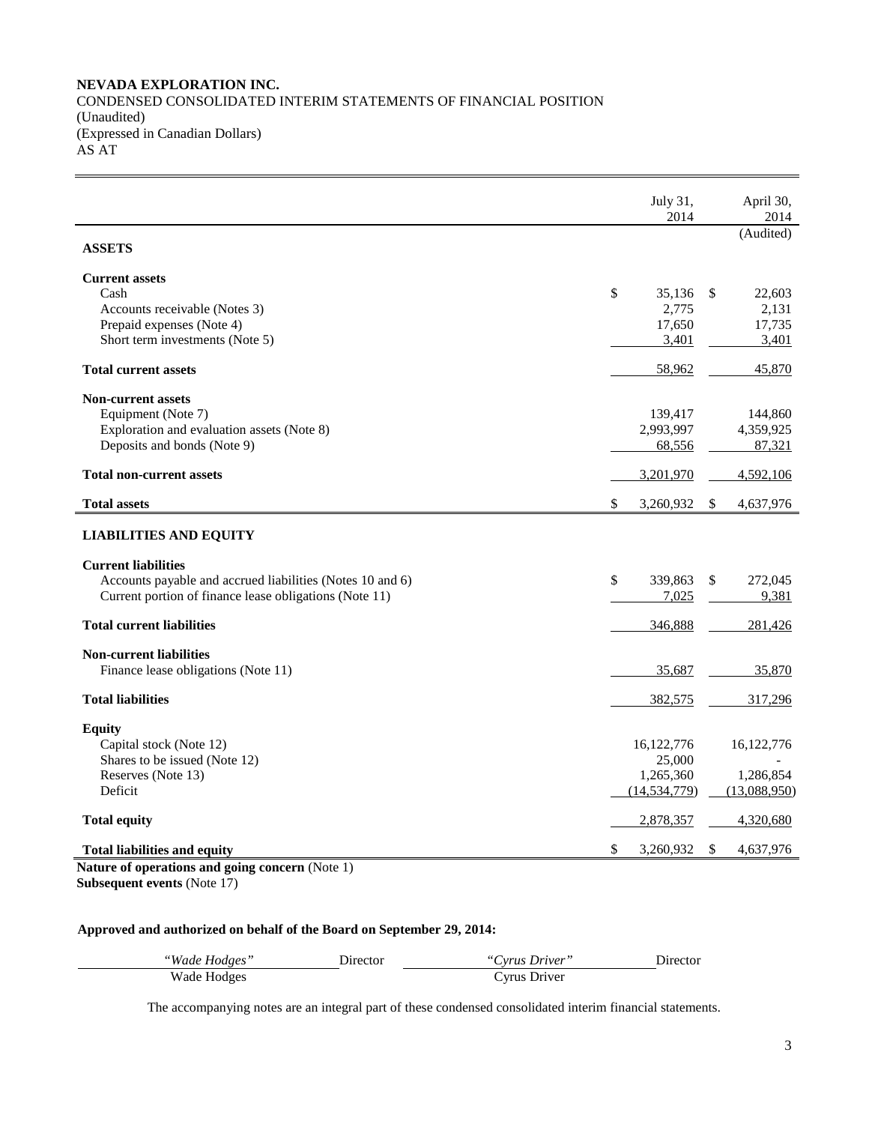#### **NEVADA EXPLORATION INC.** CONDENSED CONSOLIDATED INTERIM STATEMENTS OF FINANCIAL POSITION (Unaudited) (Expressed in Canadian Dollars) AS AT

|                                                           | July 31,<br>2014 | April 30,<br>2014       |
|-----------------------------------------------------------|------------------|-------------------------|
| <b>ASSETS</b>                                             |                  | (Audited)               |
| <b>Current assets</b>                                     |                  |                         |
| Cash                                                      | \$<br>35,136     | 22,603<br><sup>\$</sup> |
| Accounts receivable (Notes 3)                             | 2,775            | 2,131                   |
| Prepaid expenses (Note 4)                                 | 17,650           | 17,735                  |
| Short term investments (Note 5)                           | 3,401            | 3,401                   |
| <b>Total current assets</b>                               | 58,962           | 45,870                  |
| <b>Non-current assets</b>                                 |                  |                         |
| Equipment (Note 7)                                        | 139,417          | 144,860                 |
| Exploration and evaluation assets (Note 8)                | 2,993,997        | 4,359,925               |
| Deposits and bonds (Note 9)                               | 68,556           | 87,321                  |
| <b>Total non-current assets</b>                           | 3,201,970        | 4,592,106               |
| <b>Total assets</b>                                       | \$<br>3,260,932  | S.<br>4,637,976         |
| <b>LIABILITIES AND EQUITY</b>                             |                  |                         |
| <b>Current liabilities</b>                                |                  |                         |
| Accounts payable and accrued liabilities (Notes 10 and 6) | \$<br>339,863    | \$<br>272,045           |
| Current portion of finance lease obligations (Note 11)    | 7,025            | 9,381                   |
| <b>Total current liabilities</b>                          | 346,888          | 281,426                 |
| <b>Non-current liabilities</b>                            |                  |                         |
| Finance lease obligations (Note 11)                       | 35,687           | 35,870                  |
| <b>Total liabilities</b>                                  | 382,575          | 317,296                 |
| <b>Equity</b>                                             |                  |                         |
| Capital stock (Note 12)                                   | 16,122,776       | 16, 122, 776            |
| Shares to be issued (Note 12)                             | 25,000           |                         |
| Reserves (Note 13)                                        | 1,265,360        | 1,286,854               |
| Deficit                                                   | (14, 534, 779)   | (13,088,950)            |
| <b>Total equity</b>                                       | 2,878,357        | 4,320,680               |
| <b>Total liabilities and equity</b>                       | \$<br>3,260,932  | \$<br>4,637,976         |
| Nature of operations and going concern (Note 1)           |                  |                         |

**Subsequent events** (Note 17)

## **Approved and authorized on behalf of the Board on September 29, 2014:**

| "Wade Hodges" | Director | "Cyrus Driver" | Director |
|---------------|----------|----------------|----------|
| Wade Hodges   |          | Cyrus Driver   |          |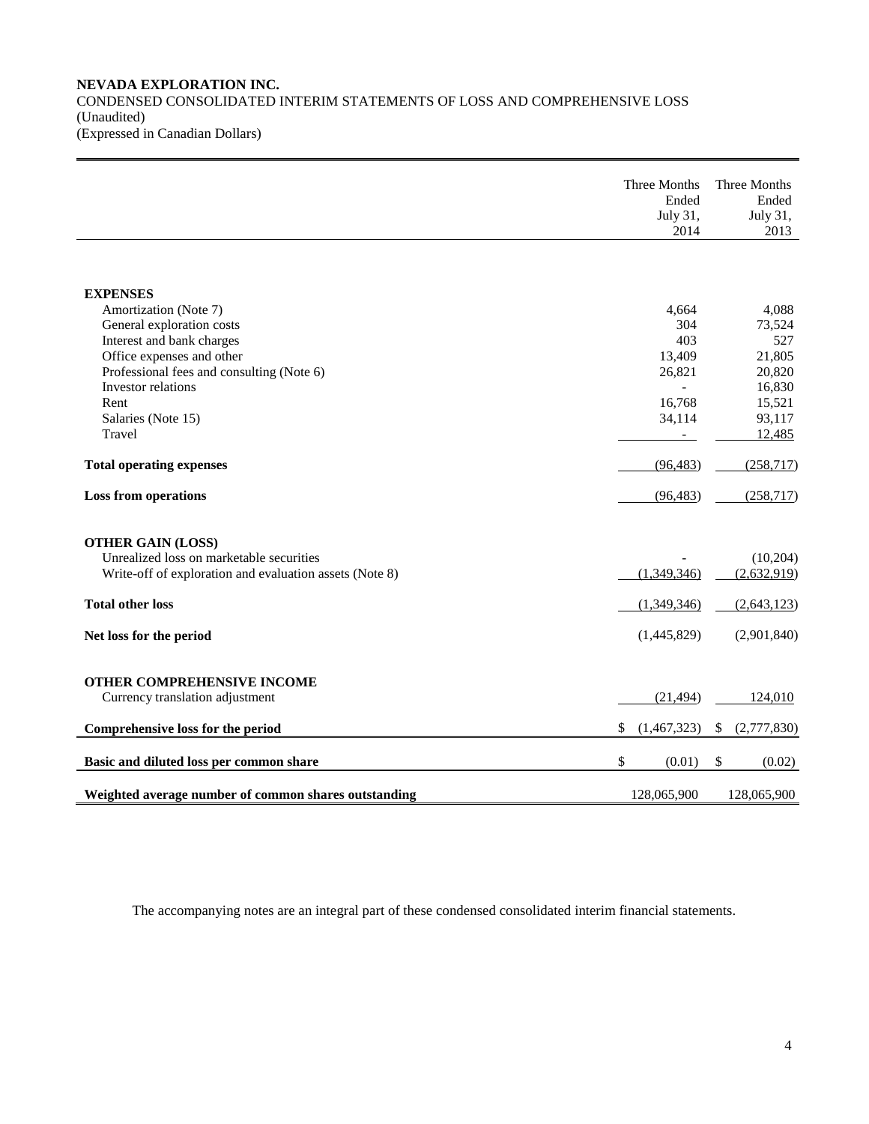## **NEVADA EXPLORATION INC.** CONDENSED CONSOLIDATED INTERIM STATEMENTS OF LOSS AND COMPREHENSIVE LOSS (Unaudited)

(Expressed in Canadian Dollars)

|                                                         | Three Months<br>Ended<br>July 31,<br>2014 | Three Months<br>Ended<br>July 31,<br>2013 |
|---------------------------------------------------------|-------------------------------------------|-------------------------------------------|
|                                                         |                                           |                                           |
| <b>EXPENSES</b>                                         |                                           |                                           |
| Amortization (Note 7)                                   | 4,664                                     | 4,088                                     |
| General exploration costs                               | 304                                       | 73,524                                    |
| Interest and bank charges                               | 403                                       | 527                                       |
| Office expenses and other                               | 13,409                                    | 21,805                                    |
| Professional fees and consulting (Note 6)               | 26,821                                    | 20,820                                    |
| Investor relations                                      |                                           | 16,830                                    |
| Rent                                                    | 16,768                                    | 15,521                                    |
| Salaries (Note 15)                                      | 34,114                                    | 93,117                                    |
| Travel                                                  |                                           | 12,485                                    |
| <b>Total operating expenses</b>                         | (96, 483)                                 | (258, 717)                                |
| <b>Loss from operations</b>                             | (96, 483)                                 | (258, 717)                                |
| <b>OTHER GAIN (LOSS)</b>                                |                                           |                                           |
| Unrealized loss on marketable securities                |                                           | (10, 204)                                 |
| Write-off of exploration and evaluation assets (Note 8) | (1,349,346)                               | (2,632,919)                               |
| <b>Total other loss</b>                                 | (1,349,346)                               | (2,643,123)                               |
| Net loss for the period                                 | (1,445,829)                               | (2,901,840)                               |
| <b>OTHER COMPREHENSIVE INCOME</b>                       |                                           |                                           |
| Currency translation adjustment                         | (21, 494)                                 | 124,010                                   |
|                                                         |                                           |                                           |
| Comprehensive loss for the period                       | \$<br>(1,467,323)                         | (2,777,830)<br>\$                         |
| Basic and diluted loss per common share                 | \$<br>(0.01)                              | \$<br>(0.02)                              |
| Weighted average number of common shares outstanding    | 128,065,900                               | 128,065,900                               |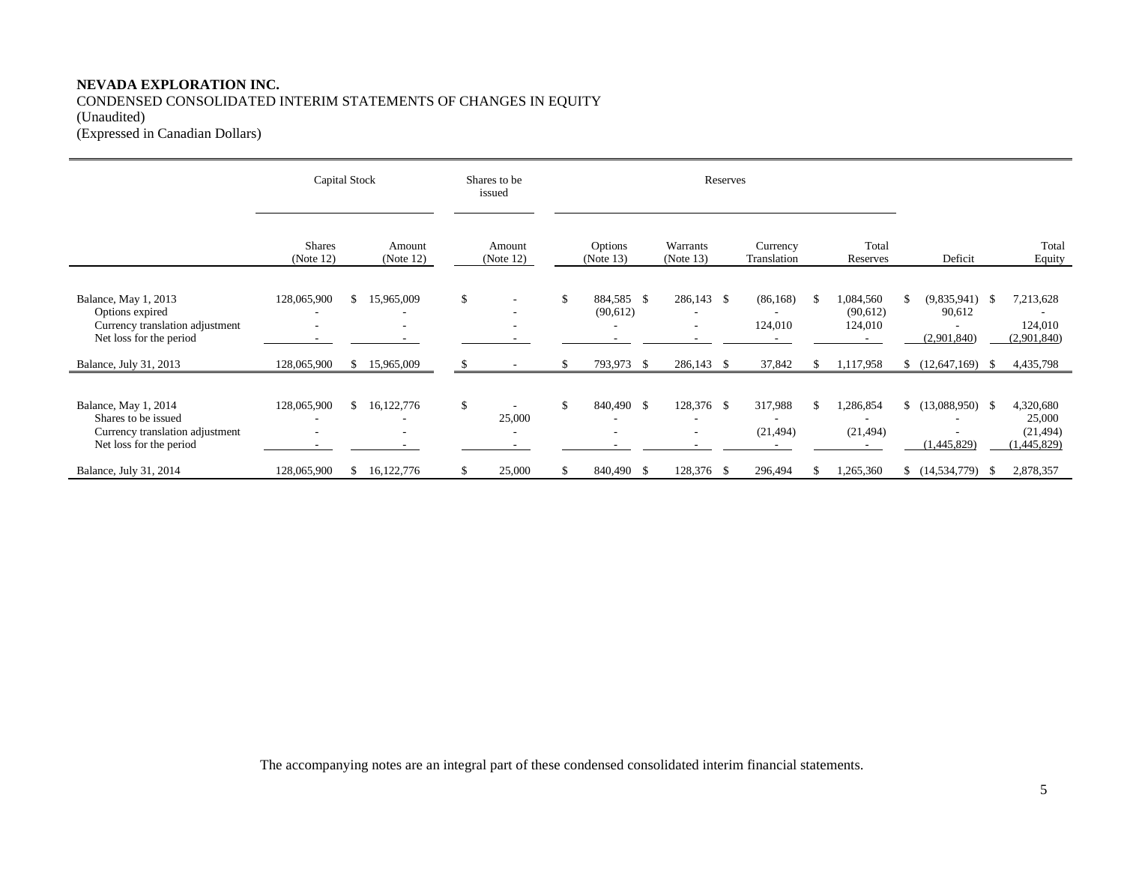## **NEVADA EXPLORATION INC.** CONDENSED CONSOLIDATED INTERIM STATEMENTS OF CHANGES IN EQUITY (Unaudited)

(Expressed in Canadian Dollars)

|                                                                                                           | Capital Stock                                                       |    |                                             | Shares to be<br>issued |                                    | Reserves |                        |              |                           |  |                         |     |                                 |    |                                           |     |                                                 |
|-----------------------------------------------------------------------------------------------------------|---------------------------------------------------------------------|----|---------------------------------------------|------------------------|------------------------------------|----------|------------------------|--------------|---------------------------|--|-------------------------|-----|---------------------------------|----|-------------------------------------------|-----|-------------------------------------------------|
|                                                                                                           | <b>Shares</b><br>(Note 12)                                          |    | Amount<br>(Note $12$ )                      |                        | Amount<br>(Note $12$ )             |          | Options<br>(Note 13)   |              | Warrants<br>(Note 13)     |  | Currency<br>Translation |     | Total<br>Reserves               |    | Deficit                                   |     | Total<br>Equity                                 |
| Balance, May 1, 2013<br>Options expired<br>Currency translation adjustment<br>Net loss for the period     | 128,065,900<br>$\overline{\phantom{a}}$<br>$\overline{\phantom{a}}$ | S. | 15,965,009<br>۰<br>۰                        | \$                     |                                    | \$       | 884,585 \$<br>(90,612) |              | 286,143 \$<br>۰<br>٠<br>۰ |  | (86, 168)<br>124,010    | -S  | ,084,560<br>(90,612)<br>124,010 | S. | $(9,835,941)$ \$<br>90,612<br>(2,901,840) |     | 7,213,628<br>124,010<br>(2,901,840)             |
| Balance, July 31, 2013                                                                                    | 128,065,900                                                         | \$ | 15,965,009                                  |                        |                                    | S.       | 793,973                | $\mathbf{s}$ | 286,143 \$                |  | 37,842                  |     | 1,117,958                       |    | (12,647,169)                              | - S | 4,435,798                                       |
| Balance, May 1, 2014<br>Shares to be issued<br>Currency translation adjustment<br>Net loss for the period | 128,065,900<br>$\overline{\phantom{a}}$<br>$\overline{\phantom{a}}$ | \$ | 16,122,776<br>$\overline{\phantom{a}}$<br>٠ | \$                     | 25,000<br>$\overline{\phantom{a}}$ |          | 840,490 \$             |              | 128,376 \$<br>٠<br>٠      |  | 317,988<br>(21, 494)    |     | ,286,854<br>(21, 494)           |    | $$(13,088,950)$ \\$<br>(1,445,829)        |     | 4,320,680<br>25,000<br>(21, 494)<br>(1,445,829) |
| Balance, July 31, 2014                                                                                    | 128,065,900                                                         | S. | 16,122,776                                  |                        | 25,000                             | S.       | 840,490                | <sup>S</sup> | 128,376 \$                |  | 296,494                 | -\$ | .265,360                        |    | (14,534,779)                              | - S | 2,878,357                                       |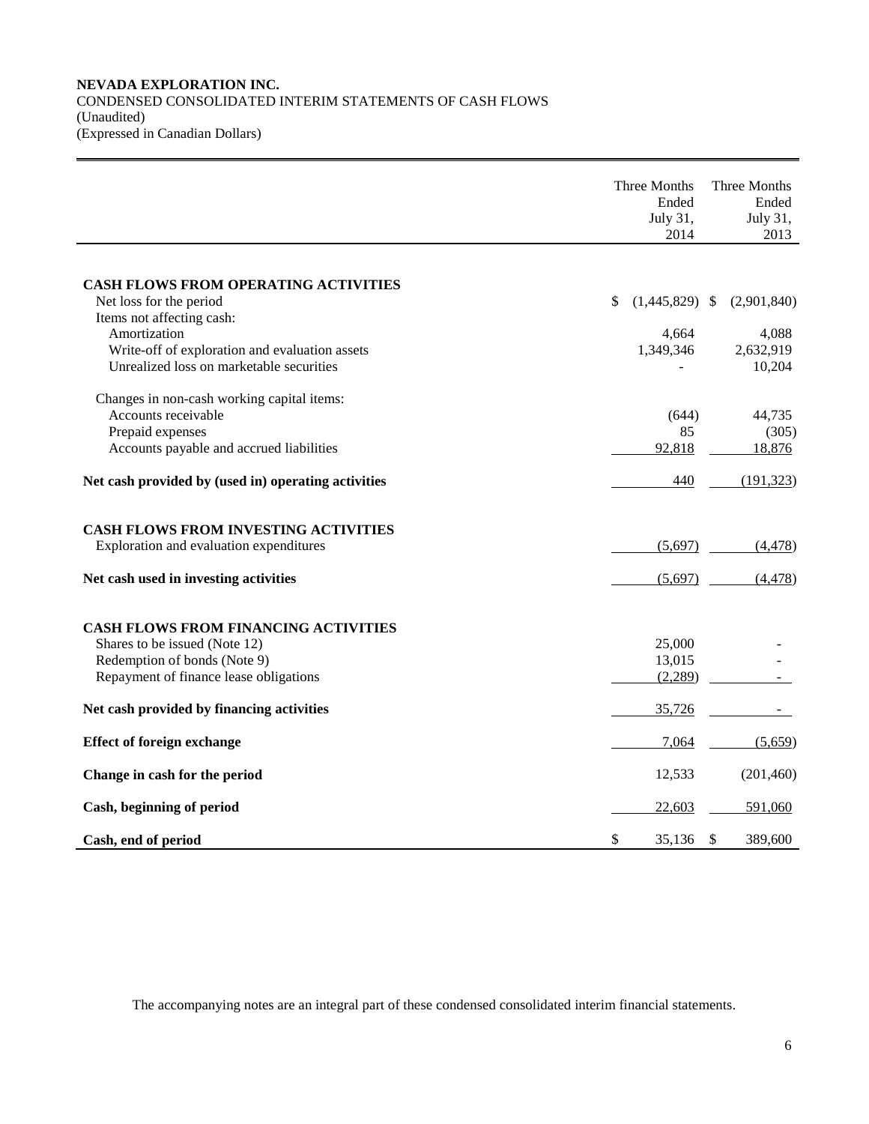#### **NEVADA EXPLORATION INC.** CONDENSED CONSOLIDATED INTERIM STATEMENTS OF CASH FLOWS (Unaudited) (Expressed in Canadian Dollars)

|                                                                | Three Months<br>Ended<br>July 31,<br>2014 |                           | Three Months<br>Ended<br>July 31,<br>2013 |
|----------------------------------------------------------------|-------------------------------------------|---------------------------|-------------------------------------------|
|                                                                |                                           |                           |                                           |
| <b>CASH FLOWS FROM OPERATING ACTIVITIES</b>                    |                                           |                           |                                           |
| Net loss for the period                                        | \$<br>$(1,445,829)$ \$                    |                           | (2,901,840)                               |
| Items not affecting cash:                                      |                                           |                           |                                           |
| Amortization<br>Write-off of exploration and evaluation assets | 4,664<br>1,349,346                        |                           | 4,088<br>2,632,919                        |
| Unrealized loss on marketable securities                       |                                           |                           | 10,204                                    |
| Changes in non-cash working capital items:                     |                                           |                           |                                           |
| Accounts receivable                                            | (644)                                     |                           | 44,735                                    |
| Prepaid expenses                                               | 85                                        |                           | (305)                                     |
| Accounts payable and accrued liabilities                       | 92,818                                    |                           | 18,876                                    |
| Net cash provided by (used in) operating activities            | 440                                       |                           | (191, 323)                                |
| <b>CASH FLOWS FROM INVESTING ACTIVITIES</b>                    |                                           |                           |                                           |
| Exploration and evaluation expenditures                        | (5,697)                                   |                           | (4, 478)                                  |
| Net cash used in investing activities                          | (5,697)                                   |                           | (4, 478)                                  |
|                                                                |                                           |                           |                                           |
| <b>CASH FLOWS FROM FINANCING ACTIVITIES</b>                    |                                           |                           |                                           |
| Shares to be issued (Note 12)                                  | 25,000                                    |                           |                                           |
| Redemption of bonds (Note 9)                                   | 13,015                                    |                           |                                           |
| Repayment of finance lease obligations                         | (2,289)                                   |                           |                                           |
| Net cash provided by financing activities                      | 35,726                                    |                           |                                           |
| <b>Effect of foreign exchange</b>                              | 7,064                                     |                           | (5,659)                                   |
| Change in cash for the period                                  | 12,533                                    |                           | (201, 460)                                |
| Cash, beginning of period                                      | 22,603                                    |                           | 591,060                                   |
| Cash, end of period                                            | \$<br>35,136                              | $\boldsymbol{\mathsf{S}}$ | 389,600                                   |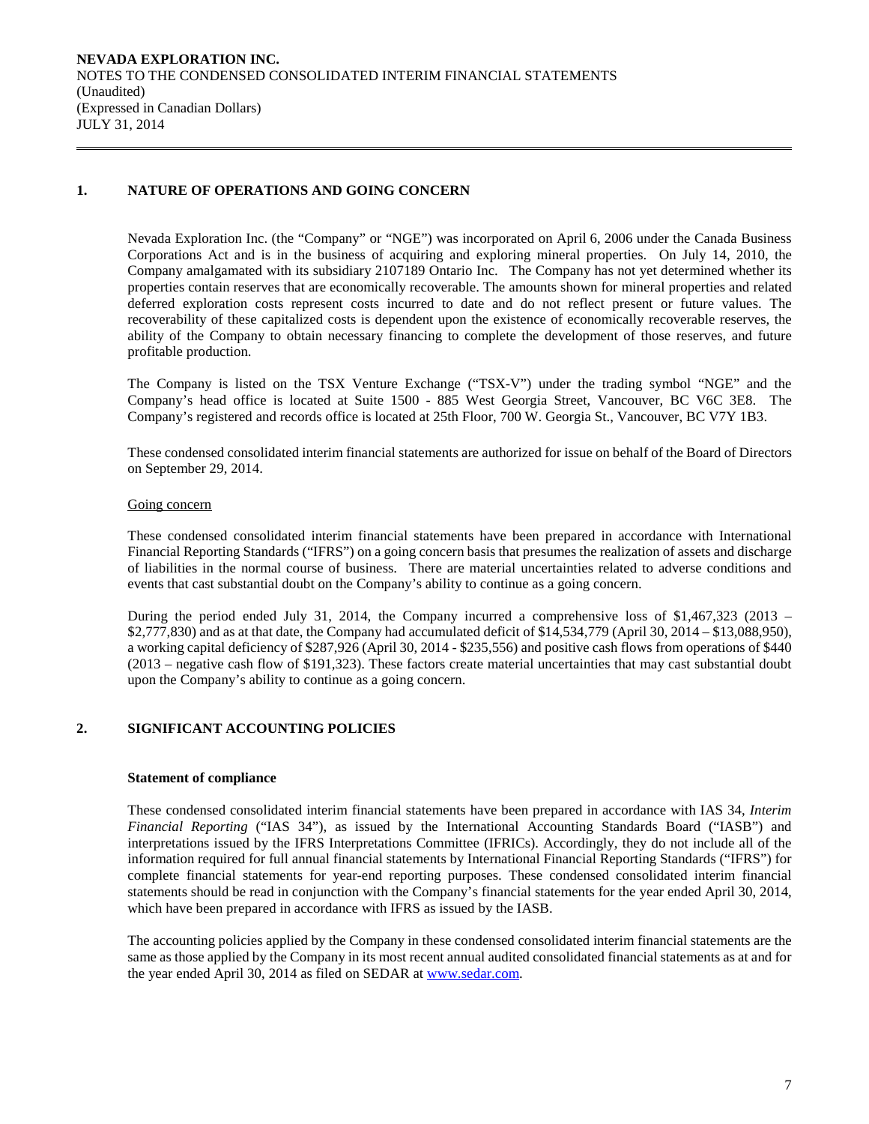## **1. NATURE OF OPERATIONS AND GOING CONCERN**

Nevada Exploration Inc. (the "Company" or "NGE") was incorporated on April 6, 2006 under the Canada Business Corporations Act and is in the business of acquiring and exploring mineral properties. On July 14, 2010, the Company amalgamated with its subsidiary 2107189 Ontario Inc. The Company has not yet determined whether its properties contain reserves that are economically recoverable. The amounts shown for mineral properties and related deferred exploration costs represent costs incurred to date and do not reflect present or future values. The recoverability of these capitalized costs is dependent upon the existence of economically recoverable reserves, the ability of the Company to obtain necessary financing to complete the development of those reserves, and future profitable production.

The Company is listed on the TSX Venture Exchange ("TSX-V") under the trading symbol "NGE" and the Company's head office is located at Suite 1500 - 885 West Georgia Street, Vancouver, BC V6C 3E8. The Company's registered and records office is located at 25th Floor, 700 W. Georgia St., Vancouver, BC V7Y 1B3.

These condensed consolidated interim financial statements are authorized for issue on behalf of the Board of Directors on September 29, 2014.

#### Going concern

These condensed consolidated interim financial statements have been prepared in accordance with International Financial Reporting Standards ("IFRS") on a going concern basis that presumes the realization of assets and discharge of liabilities in the normal course of business. There are material uncertainties related to adverse conditions and events that cast substantial doubt on the Company's ability to continue as a going concern.

During the period ended July 31, 2014, the Company incurred a comprehensive loss of \$1,467,323 (2013 – \$2,777,830) and as at that date, the Company had accumulated deficit of \$14,534,779 (April 30, 2014 – \$13,088,950), a working capital deficiency of \$287,926 (April 30, 2014 - \$235,556) and positive cash flows from operations of \$440 (2013 – negative cash flow of \$191,323). These factors create material uncertainties that may cast substantial doubt upon the Company's ability to continue as a going concern.

#### **2. SIGNIFICANT ACCOUNTING POLICIES**

#### **Statement of compliance**

These condensed consolidated interim financial statements have been prepared in accordance with IAS 34, *Interim Financial Reporting* ("IAS 34"), as issued by the International Accounting Standards Board ("IASB") and interpretations issued by the IFRS Interpretations Committee (IFRICs). Accordingly, they do not include all of the information required for full annual financial statements by International Financial Reporting Standards ("IFRS") for complete financial statements for year-end reporting purposes. These condensed consolidated interim financial statements should be read in conjunction with the Company's financial statements for the year ended April 30, 2014, which have been prepared in accordance with IFRS as issued by the IASB.

The accounting policies applied by the Company in these condensed consolidated interim financial statements are the same as those applied by the Company in its most recent annual audited consolidated financial statements as at and for the year ended April 30, 2014 as filed on SEDAR at [www.sedar.com.](http://www.sedar.com/)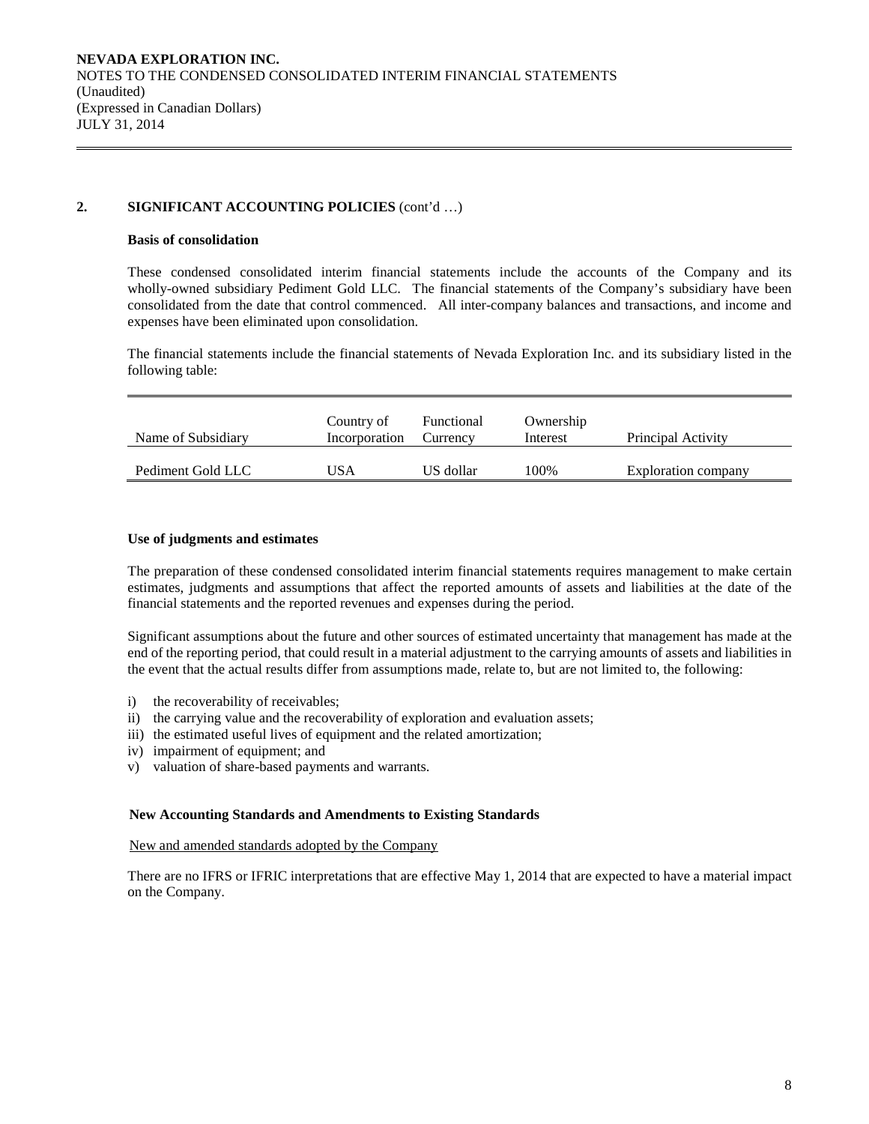## **2. SIGNIFICANT ACCOUNTING POLICIES** (cont'd …)

#### **Basis of consolidation**

These condensed consolidated interim financial statements include the accounts of the Company and its wholly-owned subsidiary Pediment Gold LLC. The financial statements of the Company's subsidiary have been consolidated from the date that control commenced. All inter-company balances and transactions, and income and expenses have been eliminated upon consolidation.

The financial statements include the financial statements of Nevada Exploration Inc. and its subsidiary listed in the following table:

| Name of Subsidiary | Country of<br>Incorporation | Functional<br>Currency | Ownership<br>Interest | Principal Activity  |
|--------------------|-----------------------------|------------------------|-----------------------|---------------------|
| Pediment Gold LLC  | USA                         | US dollar              | 100%                  | Exploration company |

#### **Use of judgments and estimates**

The preparation of these condensed consolidated interim financial statements requires management to make certain estimates, judgments and assumptions that affect the reported amounts of assets and liabilities at the date of the financial statements and the reported revenues and expenses during the period.

Significant assumptions about the future and other sources of estimated uncertainty that management has made at the end of the reporting period, that could result in a material adjustment to the carrying amounts of assets and liabilities in the event that the actual results differ from assumptions made, relate to, but are not limited to, the following:

- i) the recoverability of receivables;
- ii) the carrying value and the recoverability of exploration and evaluation assets;
- iii) the estimated useful lives of equipment and the related amortization;
- iv) impairment of equipment; and
- v) valuation of share-based payments and warrants.

#### **New Accounting Standards and Amendments to Existing Standards**

New and amended standards adopted by the Company

There are no IFRS or IFRIC interpretations that are effective May 1, 2014 that are expected to have a material impact on the Company.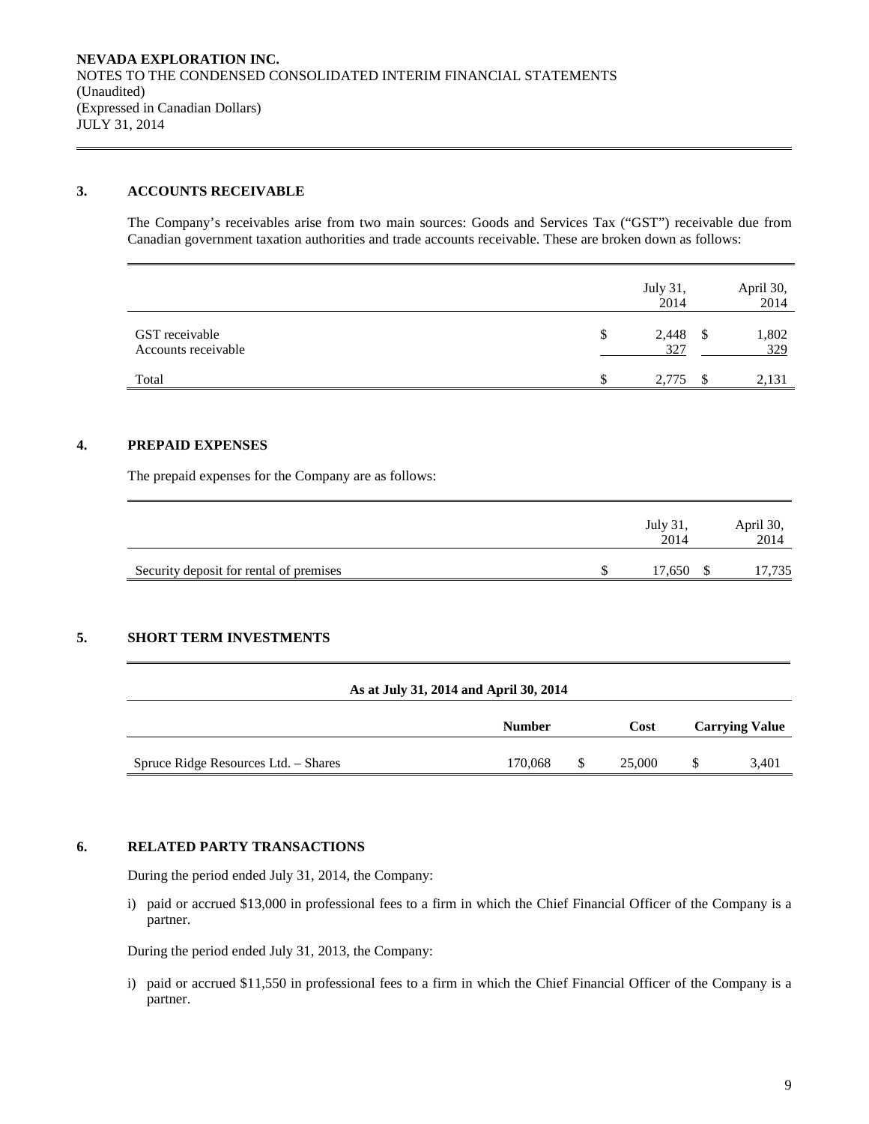#### **3. ACCOUNTS RECEIVABLE**

The Company's receivables arise from two main sources: Goods and Services Tax ("GST") receivable due from Canadian government taxation authorities and trade accounts receivable. These are broken down as follows:

|                                       | July 31,<br>2014   |    | April 30,<br>2014 |
|---------------------------------------|--------------------|----|-------------------|
| GST receivable<br>Accounts receivable | 2,448<br>\$<br>327 | -S | 1,802<br>329      |
| Total                                 | 2,775              |    | 2,131             |

#### **4. PREPAID EXPENSES**

The prepaid expenses for the Company are as follows:

|                                         | July 31.<br>2014 | April 30,<br>2014 |
|-----------------------------------------|------------------|-------------------|
| Security deposit for rental of premises | 17,650           | 17,735            |

#### **5. SHORT TERM INVESTMENTS**

|                                      | As at July 31, 2014 and April 30, 2014 |   |             |                       |
|--------------------------------------|----------------------------------------|---|-------------|-----------------------|
|                                      | <b>Number</b>                          |   | <b>Cost</b> | <b>Carrying Value</b> |
| Spruce Ridge Resources Ltd. - Shares | 170,068                                | S | 25,000      | 3,401                 |

#### **6. RELATED PARTY TRANSACTIONS**

During the period ended July 31, 2014, the Company:

i) paid or accrued \$13,000 in professional fees to a firm in which the Chief Financial Officer of the Company is a partner.

During the period ended July 31, 2013, the Company:

i) paid or accrued \$11,550 in professional fees to a firm in which the Chief Financial Officer of the Company is a partner.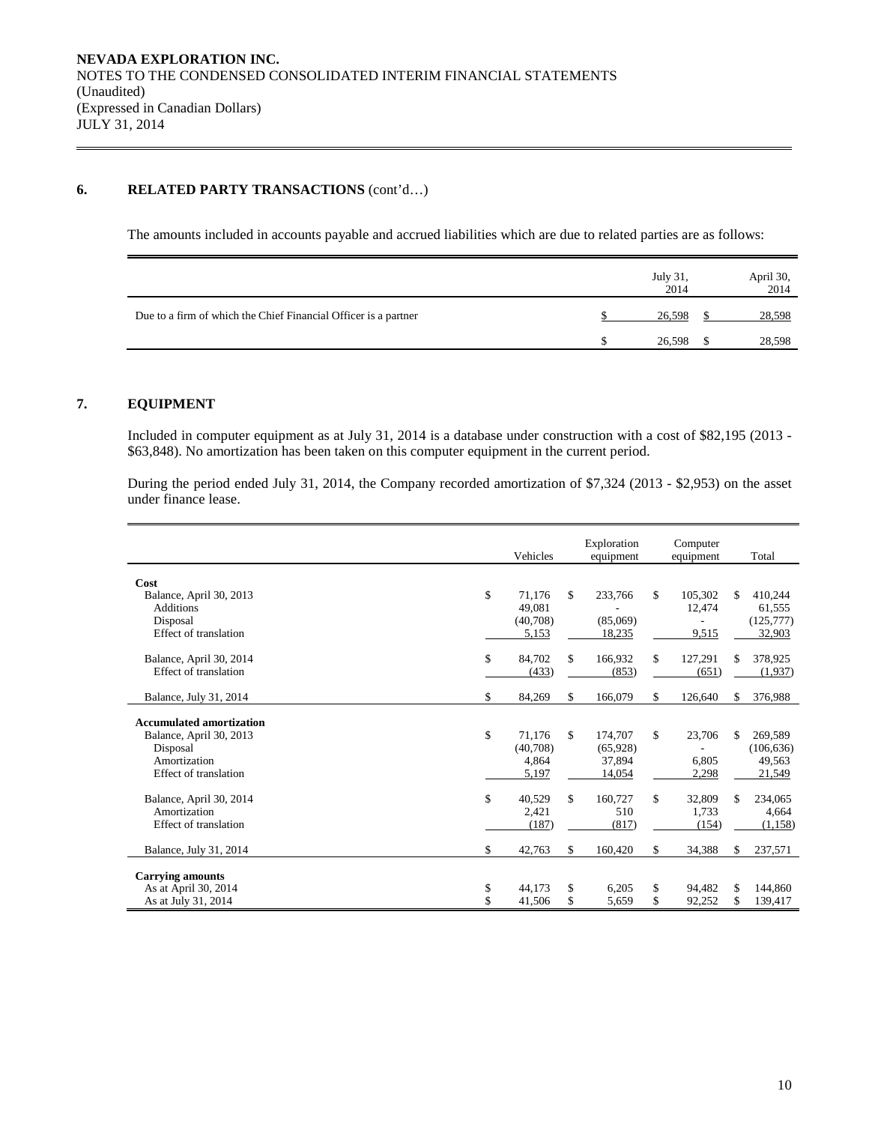#### **6. RELATED PARTY TRANSACTIONS** (cont'd…)

The amounts included in accounts payable and accrued liabilities which are due to related parties are as follows:

|                                                                 | July 31,<br>2014 | April 30,<br>2014 |
|-----------------------------------------------------------------|------------------|-------------------|
| Due to a firm of which the Chief Financial Officer is a partner | 26,598           | 28,598            |
|                                                                 | 26,598           | 28,598            |

## **7. EQUIPMENT**

Included in computer equipment as at July 31, 2014 is a database under construction with a cost of \$82,195 (2013 - \$63,848). No amortization has been taken on this computer equipment in the current period.

During the period ended July 31, 2014, the Company recorded amortization of \$7,324 (2013 - \$2,953) on the asset under finance lease.

|                                 | Vehicles     | Exploration<br>equipment |     | Computer<br>equipment |    | Total      |
|---------------------------------|--------------|--------------------------|-----|-----------------------|----|------------|
| Cost                            |              |                          |     |                       |    |            |
| Balance, April 30, 2013         | \$<br>71,176 | \$<br>233,766            | \$  | 105.302               | \$ | 410.244    |
| <b>Additions</b>                | 49.081       |                          |     | 12,474                |    | 61,555     |
| Disposal                        | (40,708)     | (85,069)                 |     |                       |    | (125, 777) |
| Effect of translation           | 5,153        | 18,235                   |     | 9,515                 |    | 32,903     |
| Balance, April 30, 2014         | \$<br>84,702 | \$<br>166,932            | \$  | 127,291               | S. | 378,925    |
| Effect of translation           | (433)        | (853)                    |     | (651)                 |    | (1,937)    |
|                                 |              |                          |     |                       |    |            |
| Balance, July 31, 2014          | \$<br>84,269 | \$<br>166,079            | \$  | 126,640               | \$ | 376,988    |
| <b>Accumulated amortization</b> |              |                          |     |                       |    |            |
| Balance, April 30, 2013         | \$<br>71,176 | \$<br>174,707            | \$  | 23,706                | \$ | 269,589    |
| Disposal                        | (40,708)     | (65,928)                 |     |                       |    | (106, 636) |
| Amortization                    | 4,864        | 37.894                   |     | 6.805                 |    | 49,563     |
| Effect of translation           | 5,197        | 14,054                   |     | 2,298                 |    | 21,549     |
| Balance, April 30, 2014         | \$<br>40.529 | \$<br>160,727            | \$. | 32,809                | \$ | 234,065    |
| Amortization                    | 2,421        | 510                      |     | 1.733                 |    | 4,664      |
| Effect of translation           | (187)        | (817)                    |     | (154)                 |    | (1, 158)   |
|                                 |              |                          |     |                       |    |            |
| Balance, July 31, 2014          | \$<br>42,763 | \$<br>160,420            | \$. | 34,388                | \$ | 237,571    |
| <b>Carrying amounts</b>         |              |                          |     |                       |    |            |
| As at April 30, 2014            | \$<br>44.173 | \$<br>6,205              | \$  | 94.482                | \$ | 144,860    |
| As at July 31, 2014             | \$<br>41,506 | \$<br>5,659              | \$  | 92,252                | \$ | 139,417    |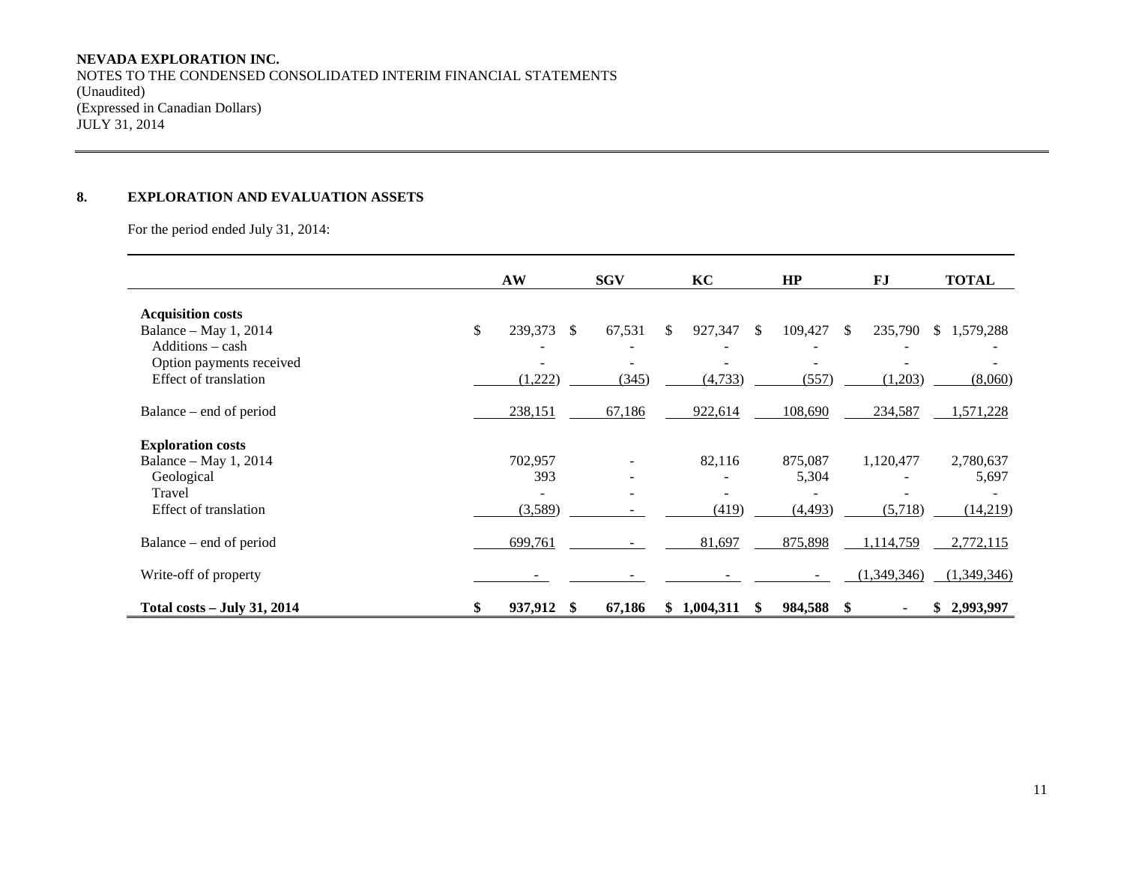## **NEVADA EXPLORATION INC.**

NOTES TO THE CONDENSED CONSOLIDATED INTERIM FINANCIAL STATEMENTS (Unaudited) (Expressed in Canadian Dollars) JULY 31, 2014

## **8. EXPLORATION AND EVALUATION ASSETS**

For the period ended July 31, 2014:

|                                                   | AW                    | <b>SGV</b> |    | KC        |               | HP         | FJ                      | <b>TOTAL</b> |
|---------------------------------------------------|-----------------------|------------|----|-----------|---------------|------------|-------------------------|--------------|
| <b>Acquisition costs</b>                          |                       |            |    |           |               |            |                         |              |
| Balance – May 1, 2014<br>$Additions - cash$       | \$<br>239,373<br>-S   | 67,531     | S. | 927,347   | <sup>\$</sup> | 109,427    | 235,790<br><sup>S</sup> | \$1,579,288  |
| Option payments received<br>Effect of translation | (1,222)               | (345)      |    | (4, 733)  |               | (557)      | (1,203)                 | (8,060)      |
| Balance – end of period                           | 238,151               | 67,186     |    | 922,614   |               | 108,690    | 234,587                 | 1,571,228    |
| <b>Exploration costs</b>                          |                       |            |    |           |               |            |                         |              |
| Balance – May 1, 2014                             | 702,957               |            |    | 82,116    |               | 875,087    | 1,120,477               | 2,780,637    |
| Geological                                        | 393                   |            |    |           |               | 5,304      |                         | 5,697        |
| Travel                                            |                       |            |    |           |               |            |                         |              |
| Effect of translation                             | (3,589)               |            |    | (419)     |               | (4, 493)   | (5,718)                 | (14,219)     |
| Balance – end of period                           | 699,761               |            |    | 81,697    |               | 875,898    | 1,114,759               | 2,772,115    |
| Write-off of property                             |                       |            |    |           |               |            | (1,349,346)             | (1,349,346)  |
| <b>Total costs – July 31, 2014</b>                | \$<br>937,912<br>- \$ | 67,186     | S. | 1,004,311 | S             | 984,588 \$ |                         | \$2,993,997  |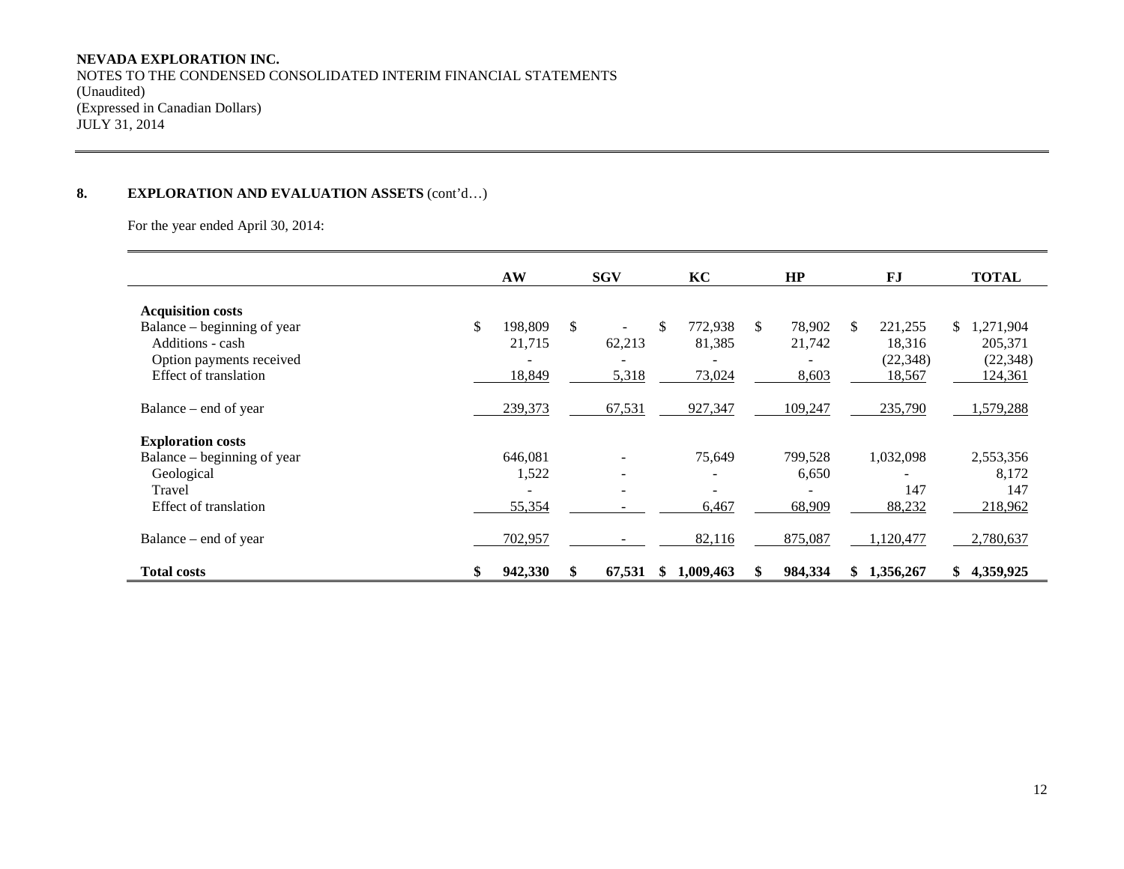## **NEVADA EXPLORATION INC.**

NOTES TO THE CONDENSED CONSOLIDATED INTERIM FINANCIAL STATEMENTS (Unaudited) (Expressed in Canadian Dollars) JULY 31, 2014

## **8. EXPLORATION AND EVALUATION ASSETS** (cont'd…)

For the year ended April 30, 2014:

|                             | AW            | <b>SGV</b>                   |    | KC        |     | HP      |     | FJ        | <b>TOTAL</b>    |
|-----------------------------|---------------|------------------------------|----|-----------|-----|---------|-----|-----------|-----------------|
| <b>Acquisition costs</b>    |               |                              |    |           |     |         |     |           |                 |
| Balance – beginning of year | \$<br>198.809 | \$                           | \$ | 772,938   | \$. | 78,902  | \$. | 221,255   | 1,271,904<br>S. |
| Additions - cash            | 21,715        | 62,213                       |    | 81,385    |     | 21,742  |     | 18,316    | 205,371         |
| Option payments received    |               |                              |    |           |     |         |     | (22, 348) | (22, 348)       |
| Effect of translation       | 18,849        | 5,318                        |    | 73,024    |     | 8,603   |     | 18,567    | 124,361         |
|                             |               |                              |    |           |     |         |     |           |                 |
| Balance – end of year       | 239,373       | 67,531                       |    | 927,347   |     | 109,247 |     | 235,790   | ,579,288        |
| <b>Exploration costs</b>    |               |                              |    |           |     |         |     |           |                 |
| Balance – beginning of year | 646,081       |                              |    | 75,649    |     | 799,528 |     | 1,032,098 | 2,553,356       |
| Geological                  | 1,522         | $\qquad \qquad \blacksquare$ |    |           |     | 6,650   |     |           | 8,172           |
| Travel                      |               | $\overline{\phantom{a}}$     |    |           |     | ٠       |     | 147       | 147             |
| Effect of translation       | 55,354        |                              |    | 6,467     |     | 68,909  |     | 88,232    | 218,962         |
|                             |               |                              |    |           |     |         |     |           |                 |
| Balance – end of year       | 702,957       |                              |    | 82,116    |     | 875,087 |     | 1,120,477 | 2,780,637       |
| <b>Total costs</b>          | \$<br>942,330 | 67,531                       | S. | 1,009,463 |     | 984,334 | SS. | 1,356,267 | 4,359,925<br>S. |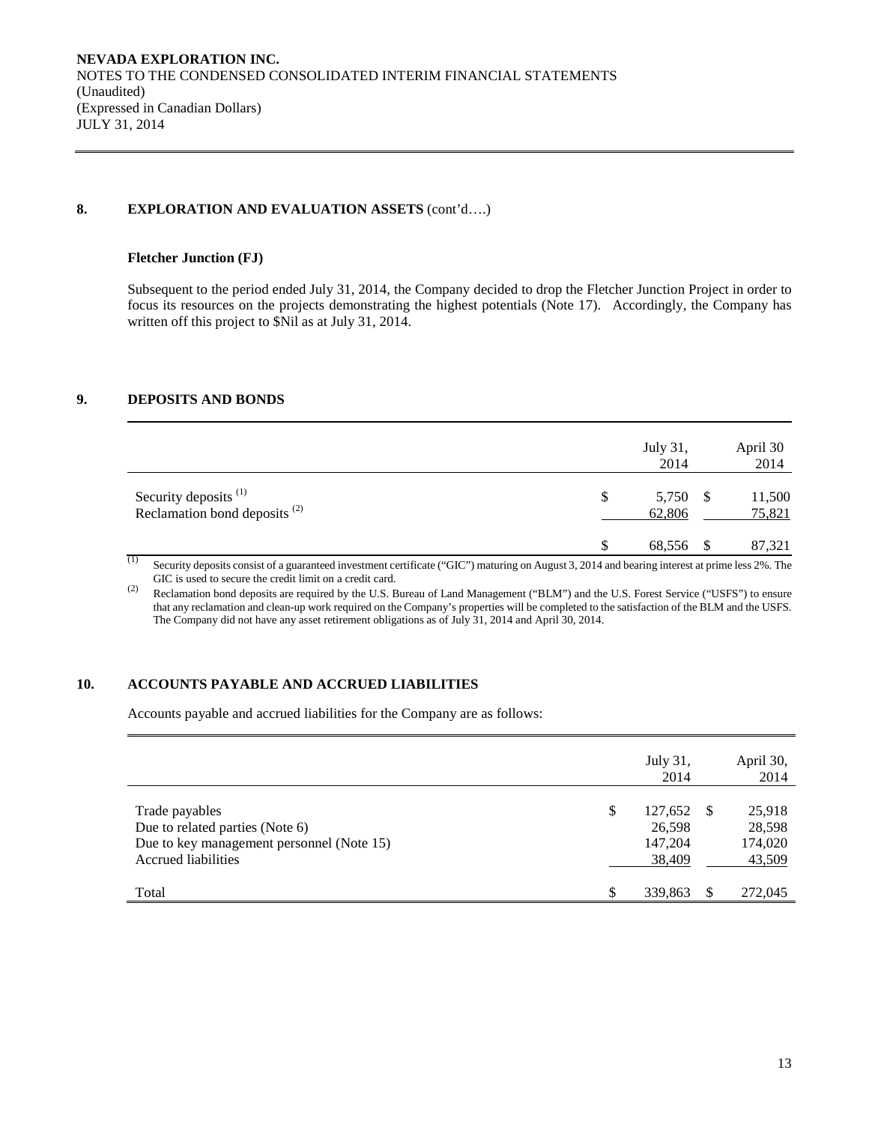## **8. EXPLORATION AND EVALUATION ASSETS** (cont'd….)

#### **Fletcher Junction (FJ)**

Subsequent to the period ended July 31, 2014, the Company decided to drop the Fletcher Junction Project in order to focus its resources on the projects demonstrating the highest potentials (Note 17). Accordingly, the Company has written off this project to  $\overline{\text{Nil}}$  as at July 31, 2014.

## **9. DEPOSITS AND BONDS**

|                                                                              | July 31,<br>2014 |          | April 30<br>2014 |
|------------------------------------------------------------------------------|------------------|----------|------------------|
| Security deposits <sup>(1)</sup><br>Reclamation bond deposits <sup>(2)</sup> | \$<br>62,806     | 5,750 \$ | 11,500<br>75,821 |
| $\rightarrow$                                                                | 68,556 \$        |          | 87,321           |

<sup>(1)</sup> Security deposits consist of a guaranteed investment certificate ("GIC") maturing on August 3, 2014 and bearing interest at prime less 2%. The GIC is used to secure the credit limit on a credit card.

(2) Reclamation bond deposits are required by the U.S. Bureau of Land Management ("BLM") and the U.S. Forest Service ("USFS") to ensure that any reclamation and clean-up work required on the Company's properties will be completed to the satisfaction of the BLM and the USFS. The Company did not have any asset retirement obligations as of July 31, 2014 and April 30, 2014.

#### **10. ACCOUNTS PAYABLE AND ACCRUED LIABILITIES**

Accounts payable and accrued liabilities for the Company are as follows:

|                                                                                                                              | July 31,<br>2014                                | April 30,<br>2014                     |
|------------------------------------------------------------------------------------------------------------------------------|-------------------------------------------------|---------------------------------------|
| Trade payables<br>Due to related parties (Note 6)<br>Due to key management personnel (Note 15)<br><b>Accrued liabilities</b> | \$<br>127,652 \$<br>26,598<br>147,204<br>38,409 | 25,918<br>28,598<br>174,020<br>43,509 |
| Total                                                                                                                        | \$<br>339.863                                   | 272,045                               |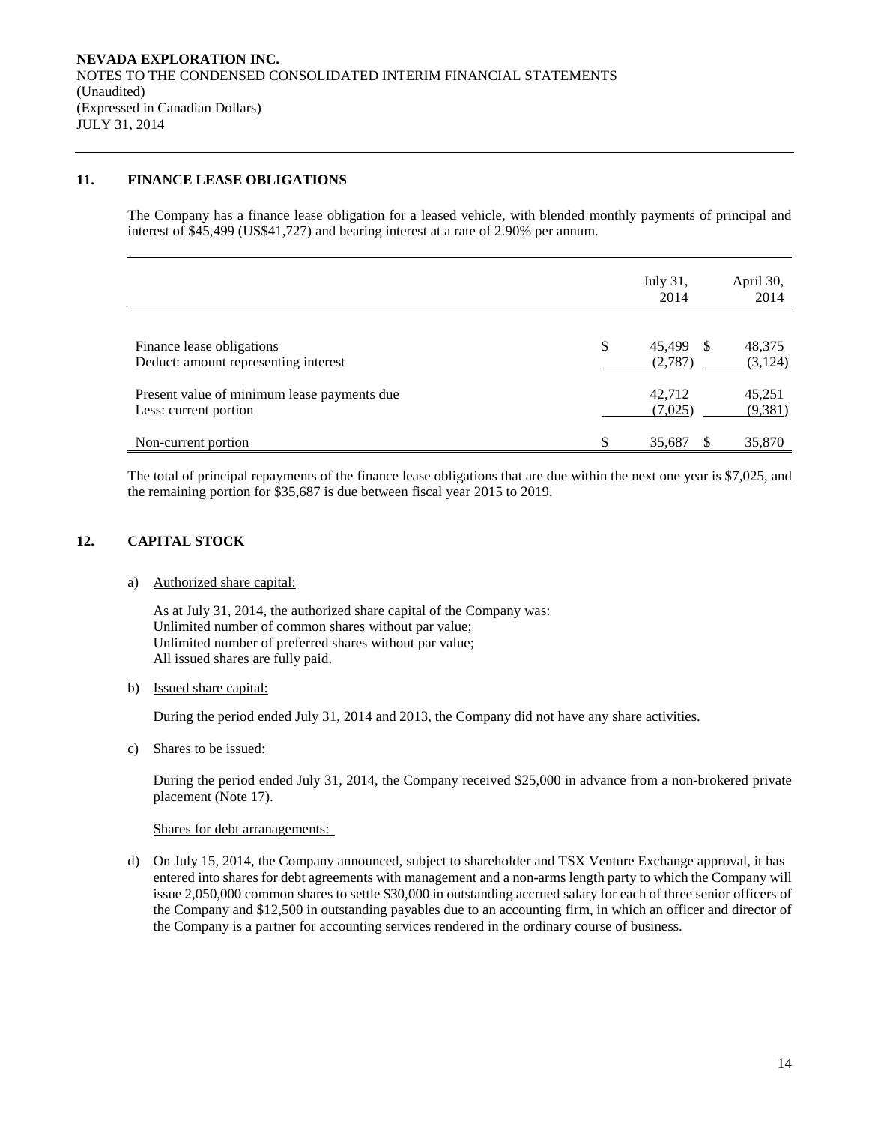## **11. FINANCE LEASE OBLIGATIONS**

The Company has a finance lease obligation for a leased vehicle, with blended monthly payments of principal and interest of \$45,499 (US\$41,727) and bearing interest at a rate of 2.90% per annum.

|                                                                      | July 31,<br>2014              | April 30,<br>2014  |
|----------------------------------------------------------------------|-------------------------------|--------------------|
| Finance lease obligations<br>Deduct: amount representing interest    | \$<br>45.499<br>-S<br>(2,787) | 48,375<br>(3, 124) |
| Present value of minimum lease payments due<br>Less: current portion | 42.712<br>(7,025)             | 45,251<br>(9,381)  |
| Non-current portion                                                  | \$<br>35,687                  | 35,870             |

The total of principal repayments of the finance lease obligations that are due within the next one year is \$7,025, and the remaining portion for \$35,687 is due between fiscal year 2015 to 2019.

#### **12. CAPITAL STOCK**

#### a) Authorized share capital:

As at July 31, 2014, the authorized share capital of the Company was: Unlimited number of common shares without par value; Unlimited number of preferred shares without par value; All issued shares are fully paid.

#### b) Issued share capital:

During the period ended July 31, 2014 and 2013, the Company did not have any share activities.

c) Shares to be issued:

During the period ended July 31, 2014, the Company received \$25,000 in advance from a non-brokered private placement (Note 17).

#### Shares for debt arranagements:

d) On July 15, 2014, the Company announced, subject to shareholder and TSX Venture Exchange approval, it has entered into shares for debt agreements with management and a non-arms length party to which the Company will issue 2,050,000 common shares to settle \$30,000 in outstanding accrued salary for each of three senior officers of the Company and \$12,500 in outstanding payables due to an accounting firm, in which an officer and director of the Company is a partner for accounting services rendered in the ordinary course of business.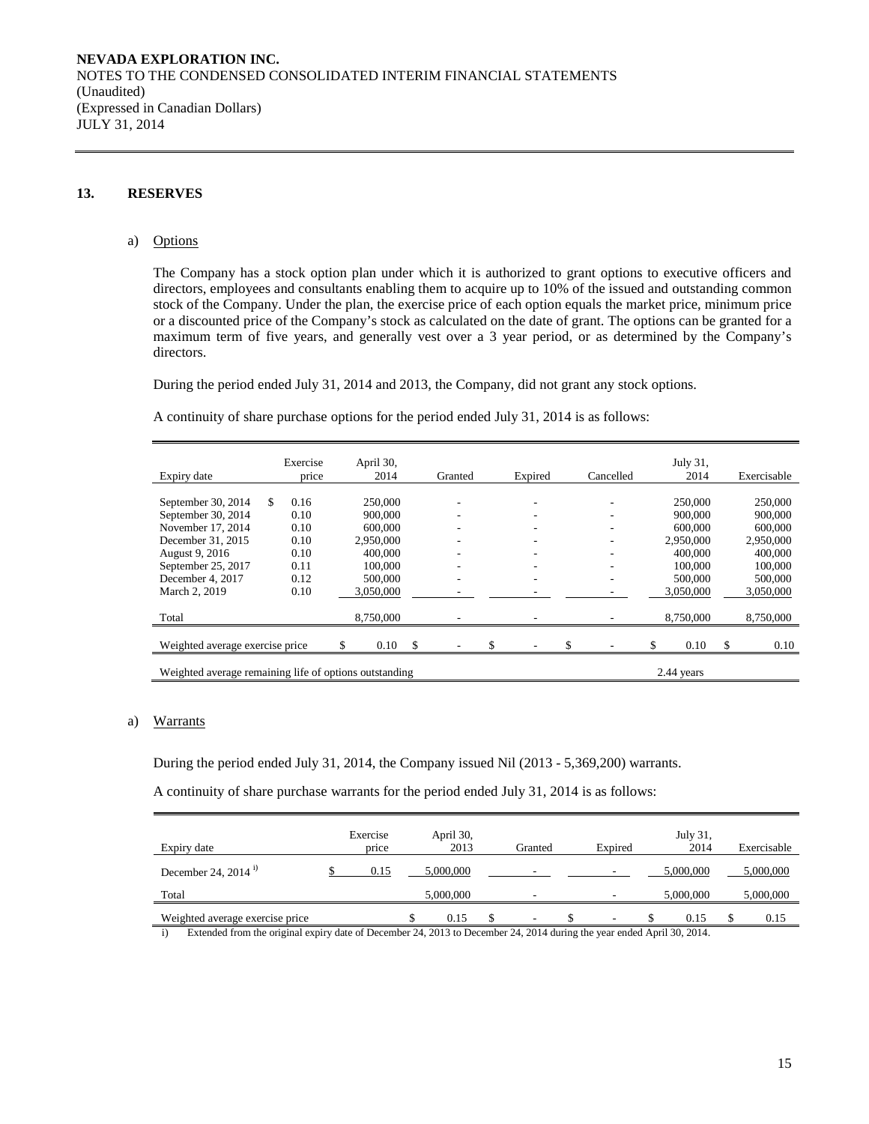## **13. RESERVES**

#### a) Options

The Company has a stock option plan under which it is authorized to grant options to executive officers and directors, employees and consultants enabling them to acquire up to 10% of the issued and outstanding common stock of the Company. Under the plan, the exercise price of each option equals the market price, minimum price or a discounted price of the Company's stock as calculated on the date of grant. The options can be granted for a maximum term of five years, and generally vest over a 3 year period, or as determined by the Company's directors.

During the period ended July 31, 2014 and 2013, the Company, did not grant any stock options.

A continuity of share purchase options for the period ended July 31, 2014 is as follows:

| Expiry date                                                          |    | Exercise<br>price |  | April 30,<br>2014 |    | Granted |  | Expired |  | Cancelled | July 31,<br>2014 |    | Exercisable |
|----------------------------------------------------------------------|----|-------------------|--|-------------------|----|---------|--|---------|--|-----------|------------------|----|-------------|
|                                                                      |    |                   |  |                   |    |         |  |         |  |           |                  |    |             |
| September 30, 2014                                                   | S. | 0.16              |  | 250,000           |    |         |  |         |  |           | 250,000          |    | 250,000     |
| September 30, 2014                                                   |    | 0.10              |  | 900,000           |    |         |  |         |  |           | 900,000          |    | 900,000     |
| November 17, 2014                                                    |    | 0.10              |  | 600,000           |    |         |  |         |  |           | 600,000          |    | 600,000     |
| December 31, 2015                                                    |    | 0.10              |  | 2,950,000         |    |         |  |         |  |           | 2.950,000        |    | 2,950,000   |
| August 9, 2016                                                       |    | 0.10              |  | 400,000           |    |         |  |         |  |           | 400,000          |    | 400,000     |
| September 25, 2017                                                   |    | 0.11              |  | 100,000           |    |         |  |         |  |           | 100,000          |    | 100,000     |
| December 4, 2017                                                     |    | 0.12              |  | 500,000           |    | ۰       |  |         |  |           | 500,000          |    | 500,000     |
| March 2, 2019                                                        |    | 0.10              |  | 3,050,000         |    |         |  |         |  |           | 3,050,000        |    | 3,050,000   |
| Total                                                                |    |                   |  | 8,750,000         |    |         |  |         |  |           | 8,750,000        |    | 8,750,000   |
| Weighted average exercise price                                      |    |                   |  | 0.10              | \$ |         |  |         |  |           | 0.10             | \$ | 0.10        |
| Weighted average remaining life of options outstanding<br>2.44 years |    |                   |  |                   |    |         |  |         |  |           |                  |    |             |

#### a) Warrants

During the period ended July 31, 2014, the Company issued Nil (2013 - 5,369,200) warrants.

A continuity of share purchase warrants for the period ended July 31, 2014 is as follows:

| Expiry date                     | Exercise<br>price | April 30,<br>2013 | Granted                  | Expired | July 31,<br>2014 | Exercisable |
|---------------------------------|-------------------|-------------------|--------------------------|---------|------------------|-------------|
| December 24, 2014 $^{i}$        | 0.15              | 5,000,000         |                          |         | 5,000,000        | 5,000,000   |
| Total                           |                   | 5,000,000         | -                        |         | 5,000,000        | 5,000,000   |
| Weighted average exercise price |                   | 0.15              | $\overline{\phantom{a}}$ |         | 0.15             | 0.15        |

i) Extended from the original expiry date of December 24, 2013 to December 24, 2014 during the year ended April 30, 2014.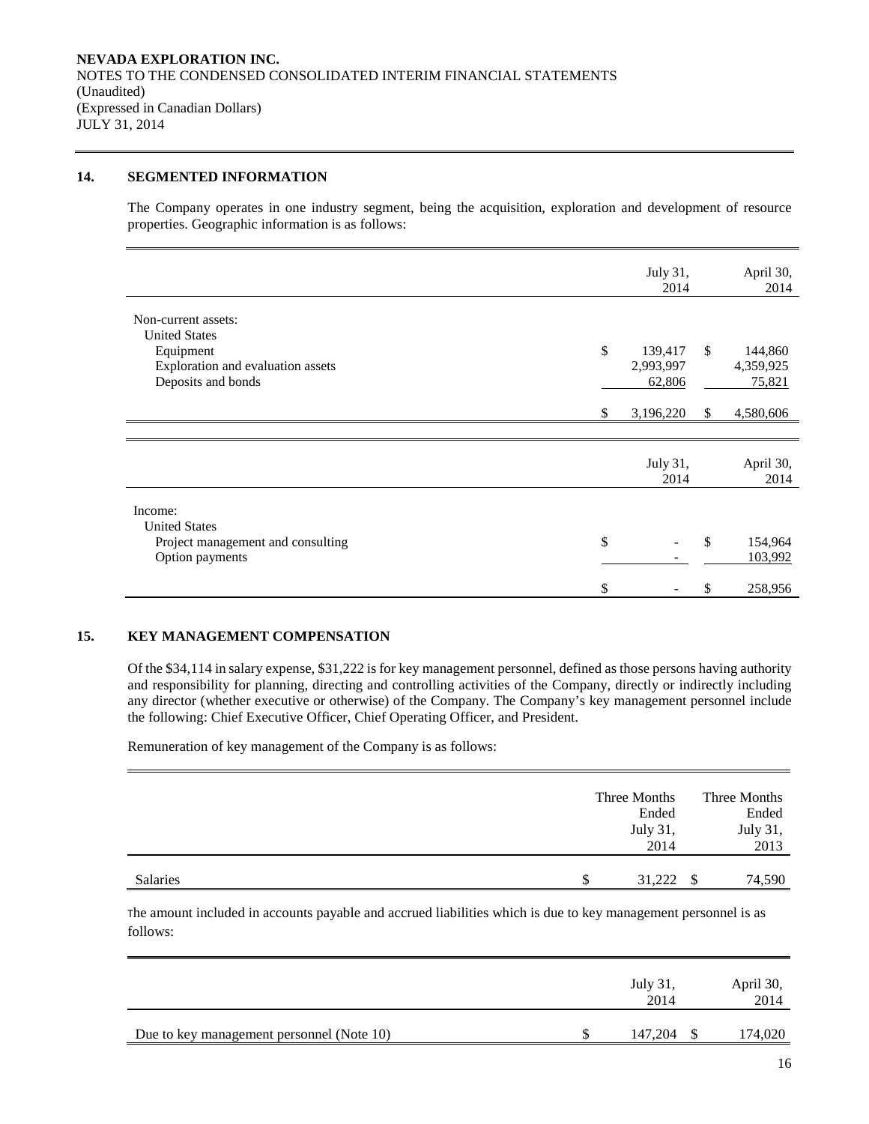#### **14. SEGMENTED INFORMATION**

The Company operates in one industry segment, being the acquisition, exploration and development of resource properties. Geographic information is as follows:

|                                   |    | July 31,<br>2014 |               | April 30,<br>2014 |  |
|-----------------------------------|----|------------------|---------------|-------------------|--|
| Non-current assets:               |    |                  |               |                   |  |
| <b>United States</b>              |    |                  |               |                   |  |
| Equipment                         | \$ | 139,417          | <sup>\$</sup> | 144,860           |  |
| Exploration and evaluation assets |    | 2,993,997        |               | 4,359,925         |  |
| Deposits and bonds                |    | 62,806           |               | 75,821            |  |
|                                   |    |                  |               |                   |  |
|                                   | S  | 3,196,220        | <sup>\$</sup> | 4,580,606         |  |
|                                   |    |                  |               |                   |  |
|                                   |    |                  |               |                   |  |
|                                   |    | July 31,         |               | April 30,         |  |
|                                   |    | 2014             |               | 2014              |  |
| Income:                           |    |                  |               |                   |  |
| <b>United States</b>              |    |                  |               |                   |  |
|                                   | \$ |                  | -\$           | 154,964           |  |
| Project management and consulting |    |                  |               |                   |  |
| Option payments                   |    |                  |               | 103,992           |  |
|                                   | \$ |                  | \$            | 258,956           |  |

## **15. KEY MANAGEMENT COMPENSATION**

Of the \$34,114 in salary expense, \$31,222 is for key management personnel, defined as those persons having authority and responsibility for planning, directing and controlling activities of the Company, directly or indirectly including any director (whether executive or otherwise) of the Company. The Company's key management personnel include the following: Chief Executive Officer, Chief Operating Officer, and President.

Remuneration of key management of the Company is as follows:

|          |   | Three Months<br>Ended |    | Three Months<br>Ended |
|----------|---|-----------------------|----|-----------------------|
|          |   | July 31,<br>2014      |    | July 31,<br>2013      |
| Salaries | S | 31,222                | -S | 74,590                |

The amount included in accounts payable and accrued liabilities which is due to key management personnel is as follows:

|                                           | July 31,<br>2014 | April 30,<br>2014 |
|-------------------------------------------|------------------|-------------------|
| Due to key management personnel (Note 10) | 147,204          | 174,020           |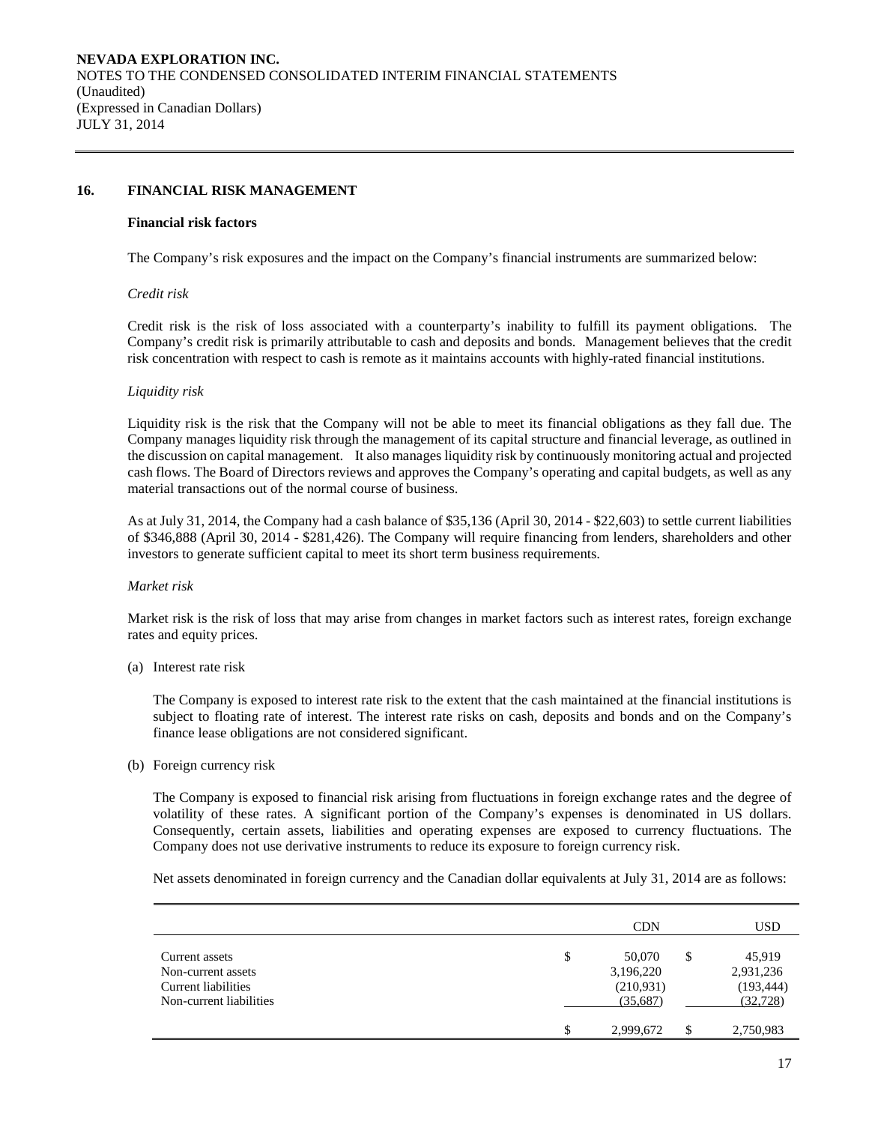#### **16. FINANCIAL RISK MANAGEMENT**

#### **Financial risk factors**

The Company's risk exposures and the impact on the Company's financial instruments are summarized below:

#### *Credit risk*

Credit risk is the risk of loss associated with a counterparty's inability to fulfill its payment obligations. The Company's credit risk is primarily attributable to cash and deposits and bonds. Management believes that the credit risk concentration with respect to cash is remote as it maintains accounts with highly-rated financial institutions.

#### *Liquidity risk*

Liquidity risk is the risk that the Company will not be able to meet its financial obligations as they fall due. The Company manages liquidity risk through the management of its capital structure and financial leverage, as outlined in the discussion on capital management. It also manages liquidity risk by continuously monitoring actual and projected cash flows. The Board of Directors reviews and approves the Company's operating and capital budgets, as well as any material transactions out of the normal course of business.

As at July 31, 2014, the Company had a cash balance of \$35,136 (April 30, 2014 - \$22,603) to settle current liabilities of \$346,888 (April 30, 2014 - \$281,426). The Company will require financing from lenders, shareholders and other investors to generate sufficient capital to meet its short term business requirements.

#### *Market risk*

Market risk is the risk of loss that may arise from changes in market factors such as interest rates, foreign exchange rates and equity prices.

(a) Interest rate risk

The Company is exposed to interest rate risk to the extent that the cash maintained at the financial institutions is subject to floating rate of interest. The interest rate risks on cash, deposits and bonds and on the Company's finance lease obligations are not considered significant.

(b) Foreign currency risk

The Company is exposed to financial risk arising from fluctuations in foreign exchange rates and the degree of volatility of these rates. A significant portion of the Company's expenses is denominated in US dollars. Consequently, certain assets, liabilities and operating expenses are exposed to currency fluctuations. The Company does not use derivative instruments to reduce its exposure to foreign currency risk.

Net assets denominated in foreign currency and the Canadian dollar equivalents at July 31, 2014 are as follows:

|                                                                                        |     | <b>CDN</b>                                   | <b>USD</b>                                           |
|----------------------------------------------------------------------------------------|-----|----------------------------------------------|------------------------------------------------------|
| Current assets<br>Non-current assets<br>Current liabilities<br>Non-current liabilities | \$  | 50,070<br>3,196,220<br>(210,931)<br>(35,687) | \$<br>45,919<br>2,931,236<br>(193, 444)<br>(32, 728) |
|                                                                                        | \$. | 2,999,672                                    | \$<br>2,750,983                                      |